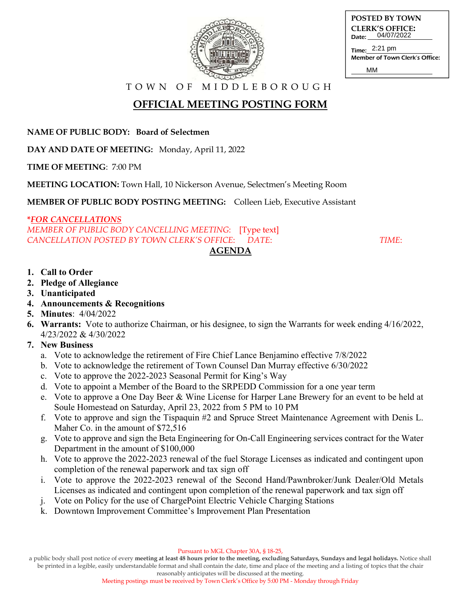

| <b>POSTED BY TOWN</b>                      |  |
|--------------------------------------------|--|
| <b>CLERK'S OFFICE:</b><br>Date: 04/07/2022 |  |
| Time: $2:21$ pm                            |  |

Time: Member of Town Clerk's Office:

MM

T O W N O F M I D D L E B O R O U G H

# **OFFICIAL MEETING POSTING FORM**

**NAME OF PUBLIC BODY: Board of Selectmen**

**DAY AND DATE OF MEETING:** Monday, April 11, 2022

**TIME OF MEETING**: 7:00 PM

**MEETING LOCATION:** Town Hall, 10 Nickerson Avenue, Selectmen's Meeting Room

**MEMBER OF PUBLIC BODY POSTING MEETING:** Colleen Lieb, Executive Assistant

### **\****FOR CANCELLATIONS*

*MEMBER OF PUBLIC BODY CANCELLING MEETING*: [Type text] *CANCELLATION POSTED BY TOWN CLERK'S OFFICE*: *DATE*: *TIME*:

### **1. Call to Order**

- **2. Pledge of Allegiance**
- **3. Unanticipated**
- **4. Announcements & Recognitions**
- **5. Minutes**: 4/04/2022
- **6. Warrants:** Vote to authorize Chairman, or his designee, to sign the Warrants for week ending 4/16/2022, 4/23/2022 & 4/30/2022

**AGENDA** 

## **7. New Business**

- a. Vote to acknowledge the retirement of Fire Chief Lance Benjamino effective 7/8/2022
- b. Vote to acknowledge the retirement of Town Counsel Dan Murray effective 6/30/2022
- c. Vote to approve the 2022-2023 Seasonal Permit for King's Way
- d. Vote to appoint a Member of the Board to the SRPEDD Commission for a one year term
- e. Vote to approve a One Day Beer & Wine License for Harper Lane Brewery for an event to be held at Soule Homestead on Saturday, April 23, 2022 from 5 PM to 10 PM
- f. Vote to approve and sign the Tispaquin #2 and Spruce Street Maintenance Agreement with Denis L. Maher Co. in the amount of \$72,516
- g. Vote to approve and sign the Beta Engineering for On-Call Engineering services contract for the Water Department in the amount of \$100,000
- h. Vote to approve the 2022-2023 renewal of the fuel Storage Licenses as indicated and contingent upon completion of the renewal paperwork and tax sign off
- i. Vote to approve the 2022-2023 renewal of the Second Hand/Pawnbroker/Junk Dealer/Old Metals Licenses as indicated and contingent upon completion of the renewal paperwork and tax sign off
- j. Vote on Policy for the use of ChargePoint Electric Vehicle Charging Stations
- k. Downtown Improvement Committee's Improvement Plan Presentation

a public body shall post notice of every **meeting at least 48 hours prior to the meeting, excluding Saturdays, Sundays and legal holidays.** Notice shall be printed in a legible, easily understandable format and shall contain the date, time and place of the meeting and a listing of topics that the chair

reasonably anticipates will be discussed at the meeting. Meeting postings must be received by Town Clerk's Office by 5:00 PM - Monday through Friday